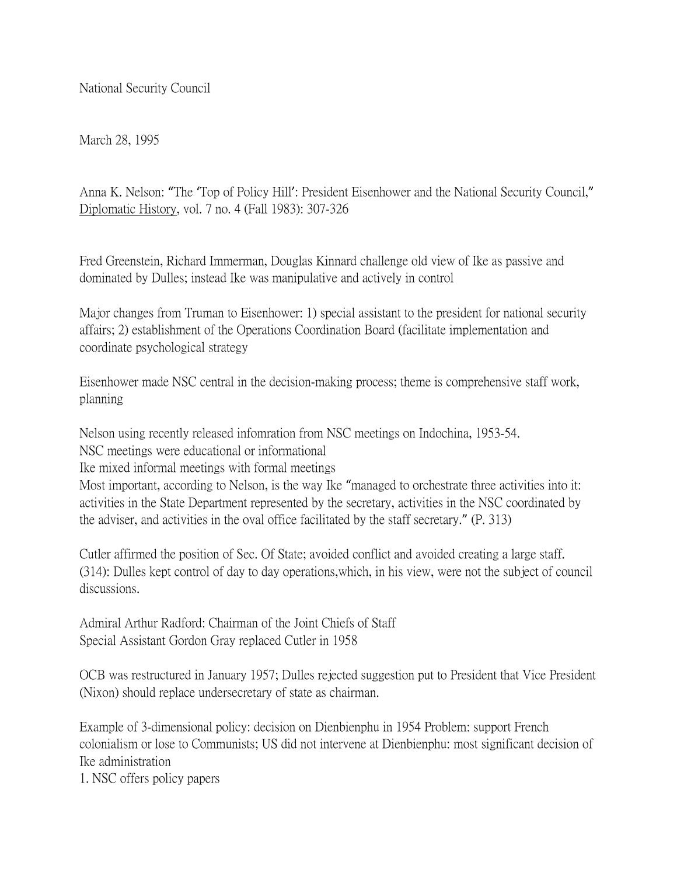National Security Council

March 28, 1995

Anna K. Nelson: "The 'Top of Policy Hill': President Eisenhower and the National Security Council," Diplomatic History, vol. 7 no. 4 (Fall 1983): 307-326

Fred Greenstein, Richard Immerman, Douglas Kinnard challenge old view of Ike as passive and dominated by Dulles; instead Ike was manipulative and actively in control

Major changes from Truman to Eisenhower: 1) special assistant to the president for national security affairs; 2) establishment of the Operations Coordination Board (facilitate implementation and coordinate psychological strategy

Eisenhower made NSC central in the decision-making process; theme is comprehensive staff work, planning

Nelson using recently released infomration from NSC meetings on Indochina, 1953-54. NSC meetings were educational or informational

Ike mixed informal meetings with formal meetings

Most important, according to Nelson, is the way Ike "managed to orchestrate three activities into it: activities in the State Department represented by the secretary, activities in the NSC coordinated by the adviser, and activities in the oval office facilitated by the staff secretary." (P. 313)

Cutler affirmed the position of Sec. Of State; avoided conflict and avoided creating a large staff. (314): Dulles kept control of day to day operations,which, in his view, were not the subject of council discussions.

Admiral Arthur Radford: Chairman of the Joint Chiefs of Staff Special Assistant Gordon Gray replaced Cutler in 1958

OCB was restructured in January 1957; Dulles rejected suggestion put to President that Vice President (Nixon) should replace undersecretary of state as chairman.

Example of 3-dimensional policy: decision on Dienbienphu in 1954 Problem: support French colonialism or lose to Communists; US did not intervene at Dienbienphu: most significant decision of Ike administration

1. NSC offers policy papers